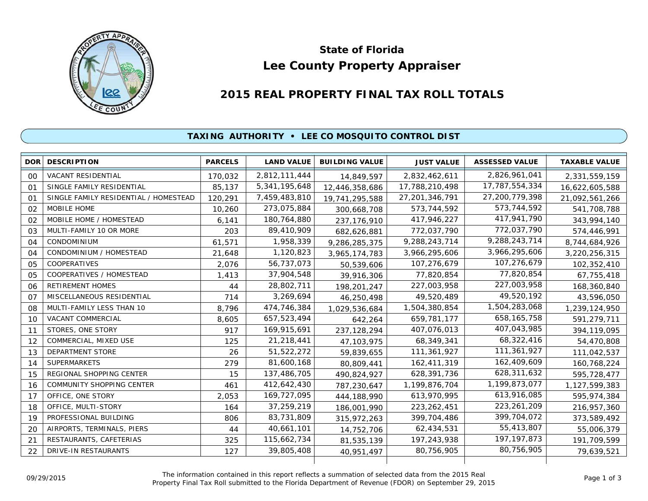

# **Lee County Property Appraiser State of Florida**

# **2015 REAL PROPERTY FINAL TAX ROLL TOTALS**

## **TAXING AUTHORITY • LEE CO MOSQUITO CONTROL DIST**

| DOR            | <b>DESCRIPTION</b>                    | <b>PARCELS</b> | <b>LAND VALUE</b> | <b>BUILDING VALUE</b> | <b>JUST VALUE</b> | <b>ASSESSED VALUE</b> | <b>TAXABLE VALUE</b> |
|----------------|---------------------------------------|----------------|-------------------|-----------------------|-------------------|-----------------------|----------------------|
| 00             | <b>VACANT RESIDENTIAL</b>             | 170,032        | 2,812,111,444     | 14,849,597            | 2,832,462,611     | 2,826,961,041         | 2,331,559,159        |
| 01             | SINGLE FAMILY RESIDENTIAL             | 85,137         | 5,341,195,648     | 12,446,358,686        | 17,788,210,498    | 17,787,554,334        | 16,622,605,588       |
| O <sub>1</sub> | SINGLE FAMILY RESIDENTIAL / HOMESTEAD | 120,291        | 7,459,483,810     | 19,741,295,588        | 27, 201, 346, 791 | 27,200,779,398        | 21,092,561,266       |
| 02             | MOBILE HOME                           | 10,260         | 273,075,884       | 300,668,708           | 573,744,592       | 573,744,592           | 541,708,788          |
| 02             | MOBILE HOME / HOMESTEAD               | 6,141          | 180,764,880       | 237, 176, 910         | 417,946,227       | 417,941,790           | 343,994,140          |
| 03             | MULTI-FAMILY 10 OR MORE               | 203            | 89,410,909        | 682,626,881           | 772,037,790       | 772,037,790           | 574,446,991          |
| 04             | CONDOMINIUM                           | 61,571         | 1,958,339         | 9,286,285,375         | 9,288,243,714     | 9,288,243,714         | 8,744,684,926        |
| 04             | CONDOMINIUM / HOMESTEAD               | 21,648         | 1,120,823         | 3,965,174,783         | 3,966,295,606     | 3,966,295,606         | 3,220,256,315        |
| 05             | <b>COOPERATIVES</b>                   | 2,076          | 56,737,073        | 50,539,606            | 107,276,679       | 107,276,679           | 102,352,410          |
| 05             | COOPERATIVES / HOMESTEAD              | 1,413          | 37,904,548        | 39,916,306            | 77,820,854        | 77,820,854            | 67,755,418           |
| 06             | <b>RETIREMENT HOMES</b>               | 44             | 28,802,711        | 198,201,247           | 227,003,958       | 227,003,958           | 168,360,840          |
| 07             | MISCELLANEOUS RESIDENTIAL             | 714            | 3,269,694         | 46,250,498            | 49,520,489        | 49,520,192            | 43,596,050           |
| 08             | MULTI-FAMILY LESS THAN 10             | 8,796          | 474,746,384       | 1,029,536,684         | 1,504,380,854     | 1,504,283,068         | 1,239,124,950        |
| 10             | VACANT COMMERCIAL                     | 8,605          | 657,523,494       | 642,264               | 659,781,177       | 658, 165, 758         | 591,279,711          |
| 11             | STORES, ONE STORY                     | 917            | 169,915,691       | 237, 128, 294         | 407,076,013       | 407,043,985           | 394,119,095          |
| 12             | COMMERCIAL, MIXED USE                 | 125            | 21,218,441        | 47,103,975            | 68,349,341        | 68,322,416            | 54,470,808           |
| 13             | <b>DEPARTMENT STORE</b>               | 26             | 51,522,272        | 59,839,655            | 111,361,927       | 111,361,927           | 111,042,537          |
| 14             | <b>SUPERMARKETS</b>                   | 279            | 81,600,168        | 80,809,441            | 162,411,319       | 162,409,609           | 160,768,224          |
| 15             | REGIONAL SHOPPING CENTER              | 15             | 137,486,705       | 490,824,927           | 628,391,736       | 628,311,632           | 595,728,477          |
| 16             | COMMUNITY SHOPPING CENTER             | 461            | 412,642,430       | 787,230,647           | 1,199,876,704     | 1,199,873,077         | 1,127,599,383        |
| 17             | OFFICE, ONE STORY                     | 2,053          | 169,727,095       | 444,188,990           | 613,970,995       | 613,916,085           | 595,974,384          |
| 18             | OFFICE, MULTI-STORY                   | 164            | 37,259,219        | 186,001,990           | 223, 262, 451     | 223, 261, 209         | 216,957,360          |
| 19             | PROFESSIONAL BUILDING                 | 806            | 83,731,809        | 315,972,263           | 399,704,486       | 399,704,072           | 373,589,492          |
| 20             | AIRPORTS, TERMINALS, PIERS            | 44             | 40,661,101        | 14,752,706            | 62,434,531        | 55,413,807            | 55,006,379           |
| 21             | RESTAURANTS, CAFETERIAS               | 325            | 115,662,734       | 81,535,139            | 197,243,938       | 197, 197, 873         | 191,709,599          |
| 22             | DRIVE-IN RESTAURANTS                  | 127            | 39,805,408        | 40,951,497            | 80,756,905        | 80,756,905            | 79,639,521           |
|                |                                       |                |                   |                       |                   |                       |                      |

The information contained in this report reflects a summation of selected data from the 2015 Real Ine information contained in this report reflects a summation of selected data from the 2015 Real<br>Property Final Tax Roll submitted to the Florida Department of Revenue (FDOR) on September 29, 2015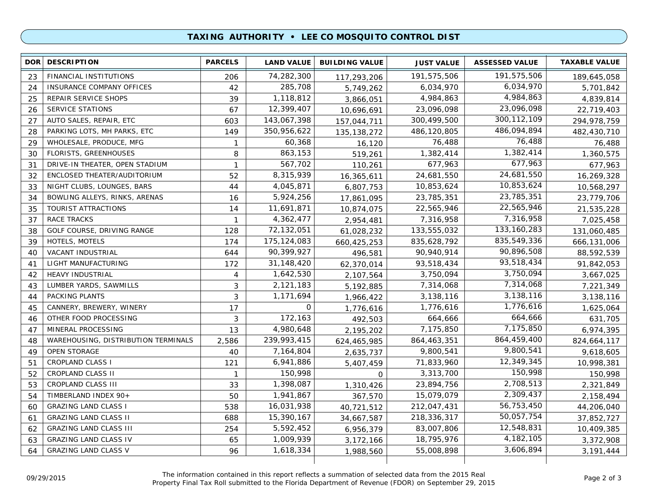### **TAXING AUTHORITY • LEE CO MOSQUITO CONTROL DIST**

| 191,575,506<br>74,282,300<br>FINANCIAL INSTITUTIONS<br>191,575,506<br>23<br>206<br>189,645,058<br>117,293,206<br>6,034,970<br>285,708<br>42<br>6,034,970<br><b>INSURANCE COMPANY OFFICES</b><br>24<br>5,701,842<br>5,749,262<br>4,984,863<br>1,118,812<br>4,984,863<br>25<br>REPAIR SERVICE SHOPS<br>39<br>3,866,051<br>4,839,814<br>23,096,098<br>12,399,407<br>SERVICE STATIONS<br>23,096,098<br>26<br>67<br>10,696,691<br>22,719,403<br>300, 112, 109<br>AUTO SALES, REPAIR, ETC<br>143,067,398<br>27<br>300,499,500<br>603<br>294,978,759<br>157,044,711<br>486,094,894<br>PARKING LOTS, MH PARKS, ETC<br>350,956,622<br>486,120,805<br>28<br>149<br>482,430,710<br>135, 138, 272<br>76,488<br>60,368<br>WHOLESALE, PRODUCE, MFG<br>76,488<br>29<br>$\mathbf{1}$<br>16,120<br>76,488<br>1,382,414<br>863,153<br>FLORISTS, GREENHOUSES<br>1,382,414<br>8<br>1,360,575<br>30<br>519,261<br>677,963<br>567,702<br>677,963<br>DRIVE-IN THEATER, OPEN STADIUM<br>$\mathbf{1}$<br>677,963<br>31<br>110,261<br>24,681,550<br>8,315,939<br>ENCLOSED THEATER/AUDITORIUM<br>24,681,550<br>32<br>52<br>16,269,328<br>16,365,611<br>10,853,624<br>4,045,871<br>10,853,624<br>33<br>NIGHT CLUBS, LOUNGES, BARS<br>44<br>10,568,297<br>6,807,753<br>23,785,351<br>5,924,256<br>BOWLING ALLEYS, RINKS, ARENAS<br>23,785,351<br>34<br>16<br>17,861,095<br>23,779,706<br>22,565,946<br>11,691,871<br>TOURIST ATTRACTIONS<br>22,565,946<br>35<br>14<br>10,874,075<br>21,535,228<br>7,316,958<br>4,362,477<br>RACE TRACKS<br>7,316,958<br>37<br>7,025,458<br>$\mathbf{1}$<br>2,954,481<br>133, 160, 283<br>72,132,051<br>GOLF COURSE, DRIVING RANGE<br>133,555,032<br>38<br>128<br>61,028,232<br>131,060,485<br>835,549,336<br>175, 124, 083<br>HOTELS, MOTELS<br>174<br>835,628,792<br>39<br>666,131,006<br>660,425,253<br>90,896,508<br>90,399,927<br>VACANT INDUSTRIAL<br>644<br>90,940,914<br>40<br>88,592,539<br>496,581<br>93,518,434<br>93,518,434<br>LIGHT MANUFACTURING<br>31,148,420<br>41<br>172<br>91,842,053<br>62,370,014<br>3,750,094<br>1,642,530<br><b>HEAVY INDUSTRIAL</b><br>3,750,094<br>42<br>4<br>3,667,025<br>2,107,564<br>7,314,068<br>2,121,183<br>LUMBER YARDS, SAWMILLS<br>7,314,068<br>43<br>3<br>5,192,885<br>7,221,349<br>3,138,116<br>PACKING PLANTS<br>3<br>1,171,694<br>3,138,116<br>44<br>1,966,422<br>3,138,116<br>1,776,616<br>0<br>CANNERY, BREWERY, WINERY<br>1,776,616<br>17<br>1,625,064<br>45<br>1,776,616<br>664,666<br>172,163<br>OTHER FOOD PROCESSING<br>3<br>664,666<br>631,705<br>46<br>492,503<br>7,175,850<br>MINERAL PROCESSING<br>4,980,648<br>47<br>13<br>7,175,850<br>6,974,395<br>2,195,202<br>864,459,400<br>239,993,415<br>864,463,351<br>WAREHOUSING, DISTRIBUTION TERMINALS<br>2,586<br>48<br>824,664,117<br>624,465,985<br>9,800,541<br>OPEN STORAGE<br>7,164,804<br>9,800,541<br>49<br>40<br>2,635,737<br>9,618,605<br>12,349,345<br><b>CROPLAND CLASS I</b><br>6,941,886<br>71,833,960<br>51<br>10,998,381<br>121<br>5,407,459<br>150,998<br>CROPLAND CLASS II<br>150,998<br>3,313,700<br>52<br>150,998<br>$\mathbf{1}$<br>$\mathbf 0$<br>2,708,513<br>1,398,087<br>53<br>CROPLAND CLASS III<br>23,894,756<br>2,321,849<br>33<br>1,310,426<br>2,309,437<br>TIMBERLAND INDEX 90+<br>1,941,867<br>15,079,079<br>54<br>50<br>367,570<br>2,158,494<br>56,753,450<br>16,031,938<br><b>GRAZING LAND CLASS I</b><br>212,047,431<br>538<br>60<br>44,206,040<br>40,721,512<br>50,057,754<br><b>GRAZING LAND CLASS II</b><br>15,390,167<br>218,336,317<br>688<br>61<br>37,852,727<br>34,667,587<br>12,548,831<br>5,592,452<br><b>GRAZING LAND CLASS III</b><br>83,007,806<br>62<br>254<br>6,956,379<br>10,409,385<br>4, 182, 105<br>1,009,939<br>18,795,976<br><b>GRAZING LAND CLASS IV</b><br>63<br>65<br>3,372,908<br>3,172,166<br>3,606,894<br><b>GRAZING LAND CLASS V</b><br>1,618,334<br>55,008,898<br>64<br>96<br>3, 191, 444<br>1,988,560 | <b>DOR</b> | <b>DESCRIPTION</b> | <b>PARCELS</b> | <b>LAND VALUE</b> | <b>BUILDING VALUE</b> | <b>JUST VALUE</b> | <b>ASSESSED VALUE</b> | <b>TAXABLE VALUE</b> |
|--------------------------------------------------------------------------------------------------------------------------------------------------------------------------------------------------------------------------------------------------------------------------------------------------------------------------------------------------------------------------------------------------------------------------------------------------------------------------------------------------------------------------------------------------------------------------------------------------------------------------------------------------------------------------------------------------------------------------------------------------------------------------------------------------------------------------------------------------------------------------------------------------------------------------------------------------------------------------------------------------------------------------------------------------------------------------------------------------------------------------------------------------------------------------------------------------------------------------------------------------------------------------------------------------------------------------------------------------------------------------------------------------------------------------------------------------------------------------------------------------------------------------------------------------------------------------------------------------------------------------------------------------------------------------------------------------------------------------------------------------------------------------------------------------------------------------------------------------------------------------------------------------------------------------------------------------------------------------------------------------------------------------------------------------------------------------------------------------------------------------------------------------------------------------------------------------------------------------------------------------------------------------------------------------------------------------------------------------------------------------------------------------------------------------------------------------------------------------------------------------------------------------------------------------------------------------------------------------------------------------------------------------------------------------------------------------------------------------------------------------------------------------------------------------------------------------------------------------------------------------------------------------------------------------------------------------------------------------------------------------------------------------------------------------------------------------------------------------------------------------------------------------------------------------------------------------------------------------------------------------------------------------------------------------------------------------------------------------------------------------------------------------------------------------------------------------------------------------------------------------------------------------------------------------------------------------------------------------------------------------------------------------------------------------------------------------------------------------------------------------------------------------------------------------------------------------------------------------------------------------------------|------------|--------------------|----------------|-------------------|-----------------------|-------------------|-----------------------|----------------------|
|                                                                                                                                                                                                                                                                                                                                                                                                                                                                                                                                                                                                                                                                                                                                                                                                                                                                                                                                                                                                                                                                                                                                                                                                                                                                                                                                                                                                                                                                                                                                                                                                                                                                                                                                                                                                                                                                                                                                                                                                                                                                                                                                                                                                                                                                                                                                                                                                                                                                                                                                                                                                                                                                                                                                                                                                                                                                                                                                                                                                                                                                                                                                                                                                                                                                                                                                                                                                                                                                                                                                                                                                                                                                                                                                                                                                                                                                                      |            |                    |                |                   |                       |                   |                       |                      |
|                                                                                                                                                                                                                                                                                                                                                                                                                                                                                                                                                                                                                                                                                                                                                                                                                                                                                                                                                                                                                                                                                                                                                                                                                                                                                                                                                                                                                                                                                                                                                                                                                                                                                                                                                                                                                                                                                                                                                                                                                                                                                                                                                                                                                                                                                                                                                                                                                                                                                                                                                                                                                                                                                                                                                                                                                                                                                                                                                                                                                                                                                                                                                                                                                                                                                                                                                                                                                                                                                                                                                                                                                                                                                                                                                                                                                                                                                      |            |                    |                |                   |                       |                   |                       |                      |
|                                                                                                                                                                                                                                                                                                                                                                                                                                                                                                                                                                                                                                                                                                                                                                                                                                                                                                                                                                                                                                                                                                                                                                                                                                                                                                                                                                                                                                                                                                                                                                                                                                                                                                                                                                                                                                                                                                                                                                                                                                                                                                                                                                                                                                                                                                                                                                                                                                                                                                                                                                                                                                                                                                                                                                                                                                                                                                                                                                                                                                                                                                                                                                                                                                                                                                                                                                                                                                                                                                                                                                                                                                                                                                                                                                                                                                                                                      |            |                    |                |                   |                       |                   |                       |                      |
|                                                                                                                                                                                                                                                                                                                                                                                                                                                                                                                                                                                                                                                                                                                                                                                                                                                                                                                                                                                                                                                                                                                                                                                                                                                                                                                                                                                                                                                                                                                                                                                                                                                                                                                                                                                                                                                                                                                                                                                                                                                                                                                                                                                                                                                                                                                                                                                                                                                                                                                                                                                                                                                                                                                                                                                                                                                                                                                                                                                                                                                                                                                                                                                                                                                                                                                                                                                                                                                                                                                                                                                                                                                                                                                                                                                                                                                                                      |            |                    |                |                   |                       |                   |                       |                      |
|                                                                                                                                                                                                                                                                                                                                                                                                                                                                                                                                                                                                                                                                                                                                                                                                                                                                                                                                                                                                                                                                                                                                                                                                                                                                                                                                                                                                                                                                                                                                                                                                                                                                                                                                                                                                                                                                                                                                                                                                                                                                                                                                                                                                                                                                                                                                                                                                                                                                                                                                                                                                                                                                                                                                                                                                                                                                                                                                                                                                                                                                                                                                                                                                                                                                                                                                                                                                                                                                                                                                                                                                                                                                                                                                                                                                                                                                                      |            |                    |                |                   |                       |                   |                       |                      |
|                                                                                                                                                                                                                                                                                                                                                                                                                                                                                                                                                                                                                                                                                                                                                                                                                                                                                                                                                                                                                                                                                                                                                                                                                                                                                                                                                                                                                                                                                                                                                                                                                                                                                                                                                                                                                                                                                                                                                                                                                                                                                                                                                                                                                                                                                                                                                                                                                                                                                                                                                                                                                                                                                                                                                                                                                                                                                                                                                                                                                                                                                                                                                                                                                                                                                                                                                                                                                                                                                                                                                                                                                                                                                                                                                                                                                                                                                      |            |                    |                |                   |                       |                   |                       |                      |
|                                                                                                                                                                                                                                                                                                                                                                                                                                                                                                                                                                                                                                                                                                                                                                                                                                                                                                                                                                                                                                                                                                                                                                                                                                                                                                                                                                                                                                                                                                                                                                                                                                                                                                                                                                                                                                                                                                                                                                                                                                                                                                                                                                                                                                                                                                                                                                                                                                                                                                                                                                                                                                                                                                                                                                                                                                                                                                                                                                                                                                                                                                                                                                                                                                                                                                                                                                                                                                                                                                                                                                                                                                                                                                                                                                                                                                                                                      |            |                    |                |                   |                       |                   |                       |                      |
|                                                                                                                                                                                                                                                                                                                                                                                                                                                                                                                                                                                                                                                                                                                                                                                                                                                                                                                                                                                                                                                                                                                                                                                                                                                                                                                                                                                                                                                                                                                                                                                                                                                                                                                                                                                                                                                                                                                                                                                                                                                                                                                                                                                                                                                                                                                                                                                                                                                                                                                                                                                                                                                                                                                                                                                                                                                                                                                                                                                                                                                                                                                                                                                                                                                                                                                                                                                                                                                                                                                                                                                                                                                                                                                                                                                                                                                                                      |            |                    |                |                   |                       |                   |                       |                      |
|                                                                                                                                                                                                                                                                                                                                                                                                                                                                                                                                                                                                                                                                                                                                                                                                                                                                                                                                                                                                                                                                                                                                                                                                                                                                                                                                                                                                                                                                                                                                                                                                                                                                                                                                                                                                                                                                                                                                                                                                                                                                                                                                                                                                                                                                                                                                                                                                                                                                                                                                                                                                                                                                                                                                                                                                                                                                                                                                                                                                                                                                                                                                                                                                                                                                                                                                                                                                                                                                                                                                                                                                                                                                                                                                                                                                                                                                                      |            |                    |                |                   |                       |                   |                       |                      |
|                                                                                                                                                                                                                                                                                                                                                                                                                                                                                                                                                                                                                                                                                                                                                                                                                                                                                                                                                                                                                                                                                                                                                                                                                                                                                                                                                                                                                                                                                                                                                                                                                                                                                                                                                                                                                                                                                                                                                                                                                                                                                                                                                                                                                                                                                                                                                                                                                                                                                                                                                                                                                                                                                                                                                                                                                                                                                                                                                                                                                                                                                                                                                                                                                                                                                                                                                                                                                                                                                                                                                                                                                                                                                                                                                                                                                                                                                      |            |                    |                |                   |                       |                   |                       |                      |
|                                                                                                                                                                                                                                                                                                                                                                                                                                                                                                                                                                                                                                                                                                                                                                                                                                                                                                                                                                                                                                                                                                                                                                                                                                                                                                                                                                                                                                                                                                                                                                                                                                                                                                                                                                                                                                                                                                                                                                                                                                                                                                                                                                                                                                                                                                                                                                                                                                                                                                                                                                                                                                                                                                                                                                                                                                                                                                                                                                                                                                                                                                                                                                                                                                                                                                                                                                                                                                                                                                                                                                                                                                                                                                                                                                                                                                                                                      |            |                    |                |                   |                       |                   |                       |                      |
|                                                                                                                                                                                                                                                                                                                                                                                                                                                                                                                                                                                                                                                                                                                                                                                                                                                                                                                                                                                                                                                                                                                                                                                                                                                                                                                                                                                                                                                                                                                                                                                                                                                                                                                                                                                                                                                                                                                                                                                                                                                                                                                                                                                                                                                                                                                                                                                                                                                                                                                                                                                                                                                                                                                                                                                                                                                                                                                                                                                                                                                                                                                                                                                                                                                                                                                                                                                                                                                                                                                                                                                                                                                                                                                                                                                                                                                                                      |            |                    |                |                   |                       |                   |                       |                      |
|                                                                                                                                                                                                                                                                                                                                                                                                                                                                                                                                                                                                                                                                                                                                                                                                                                                                                                                                                                                                                                                                                                                                                                                                                                                                                                                                                                                                                                                                                                                                                                                                                                                                                                                                                                                                                                                                                                                                                                                                                                                                                                                                                                                                                                                                                                                                                                                                                                                                                                                                                                                                                                                                                                                                                                                                                                                                                                                                                                                                                                                                                                                                                                                                                                                                                                                                                                                                                                                                                                                                                                                                                                                                                                                                                                                                                                                                                      |            |                    |                |                   |                       |                   |                       |                      |
|                                                                                                                                                                                                                                                                                                                                                                                                                                                                                                                                                                                                                                                                                                                                                                                                                                                                                                                                                                                                                                                                                                                                                                                                                                                                                                                                                                                                                                                                                                                                                                                                                                                                                                                                                                                                                                                                                                                                                                                                                                                                                                                                                                                                                                                                                                                                                                                                                                                                                                                                                                                                                                                                                                                                                                                                                                                                                                                                                                                                                                                                                                                                                                                                                                                                                                                                                                                                                                                                                                                                                                                                                                                                                                                                                                                                                                                                                      |            |                    |                |                   |                       |                   |                       |                      |
|                                                                                                                                                                                                                                                                                                                                                                                                                                                                                                                                                                                                                                                                                                                                                                                                                                                                                                                                                                                                                                                                                                                                                                                                                                                                                                                                                                                                                                                                                                                                                                                                                                                                                                                                                                                                                                                                                                                                                                                                                                                                                                                                                                                                                                                                                                                                                                                                                                                                                                                                                                                                                                                                                                                                                                                                                                                                                                                                                                                                                                                                                                                                                                                                                                                                                                                                                                                                                                                                                                                                                                                                                                                                                                                                                                                                                                                                                      |            |                    |                |                   |                       |                   |                       |                      |
|                                                                                                                                                                                                                                                                                                                                                                                                                                                                                                                                                                                                                                                                                                                                                                                                                                                                                                                                                                                                                                                                                                                                                                                                                                                                                                                                                                                                                                                                                                                                                                                                                                                                                                                                                                                                                                                                                                                                                                                                                                                                                                                                                                                                                                                                                                                                                                                                                                                                                                                                                                                                                                                                                                                                                                                                                                                                                                                                                                                                                                                                                                                                                                                                                                                                                                                                                                                                                                                                                                                                                                                                                                                                                                                                                                                                                                                                                      |            |                    |                |                   |                       |                   |                       |                      |
|                                                                                                                                                                                                                                                                                                                                                                                                                                                                                                                                                                                                                                                                                                                                                                                                                                                                                                                                                                                                                                                                                                                                                                                                                                                                                                                                                                                                                                                                                                                                                                                                                                                                                                                                                                                                                                                                                                                                                                                                                                                                                                                                                                                                                                                                                                                                                                                                                                                                                                                                                                                                                                                                                                                                                                                                                                                                                                                                                                                                                                                                                                                                                                                                                                                                                                                                                                                                                                                                                                                                                                                                                                                                                                                                                                                                                                                                                      |            |                    |                |                   |                       |                   |                       |                      |
|                                                                                                                                                                                                                                                                                                                                                                                                                                                                                                                                                                                                                                                                                                                                                                                                                                                                                                                                                                                                                                                                                                                                                                                                                                                                                                                                                                                                                                                                                                                                                                                                                                                                                                                                                                                                                                                                                                                                                                                                                                                                                                                                                                                                                                                                                                                                                                                                                                                                                                                                                                                                                                                                                                                                                                                                                                                                                                                                                                                                                                                                                                                                                                                                                                                                                                                                                                                                                                                                                                                                                                                                                                                                                                                                                                                                                                                                                      |            |                    |                |                   |                       |                   |                       |                      |
|                                                                                                                                                                                                                                                                                                                                                                                                                                                                                                                                                                                                                                                                                                                                                                                                                                                                                                                                                                                                                                                                                                                                                                                                                                                                                                                                                                                                                                                                                                                                                                                                                                                                                                                                                                                                                                                                                                                                                                                                                                                                                                                                                                                                                                                                                                                                                                                                                                                                                                                                                                                                                                                                                                                                                                                                                                                                                                                                                                                                                                                                                                                                                                                                                                                                                                                                                                                                                                                                                                                                                                                                                                                                                                                                                                                                                                                                                      |            |                    |                |                   |                       |                   |                       |                      |
|                                                                                                                                                                                                                                                                                                                                                                                                                                                                                                                                                                                                                                                                                                                                                                                                                                                                                                                                                                                                                                                                                                                                                                                                                                                                                                                                                                                                                                                                                                                                                                                                                                                                                                                                                                                                                                                                                                                                                                                                                                                                                                                                                                                                                                                                                                                                                                                                                                                                                                                                                                                                                                                                                                                                                                                                                                                                                                                                                                                                                                                                                                                                                                                                                                                                                                                                                                                                                                                                                                                                                                                                                                                                                                                                                                                                                                                                                      |            |                    |                |                   |                       |                   |                       |                      |
|                                                                                                                                                                                                                                                                                                                                                                                                                                                                                                                                                                                                                                                                                                                                                                                                                                                                                                                                                                                                                                                                                                                                                                                                                                                                                                                                                                                                                                                                                                                                                                                                                                                                                                                                                                                                                                                                                                                                                                                                                                                                                                                                                                                                                                                                                                                                                                                                                                                                                                                                                                                                                                                                                                                                                                                                                                                                                                                                                                                                                                                                                                                                                                                                                                                                                                                                                                                                                                                                                                                                                                                                                                                                                                                                                                                                                                                                                      |            |                    |                |                   |                       |                   |                       |                      |
|                                                                                                                                                                                                                                                                                                                                                                                                                                                                                                                                                                                                                                                                                                                                                                                                                                                                                                                                                                                                                                                                                                                                                                                                                                                                                                                                                                                                                                                                                                                                                                                                                                                                                                                                                                                                                                                                                                                                                                                                                                                                                                                                                                                                                                                                                                                                                                                                                                                                                                                                                                                                                                                                                                                                                                                                                                                                                                                                                                                                                                                                                                                                                                                                                                                                                                                                                                                                                                                                                                                                                                                                                                                                                                                                                                                                                                                                                      |            |                    |                |                   |                       |                   |                       |                      |
|                                                                                                                                                                                                                                                                                                                                                                                                                                                                                                                                                                                                                                                                                                                                                                                                                                                                                                                                                                                                                                                                                                                                                                                                                                                                                                                                                                                                                                                                                                                                                                                                                                                                                                                                                                                                                                                                                                                                                                                                                                                                                                                                                                                                                                                                                                                                                                                                                                                                                                                                                                                                                                                                                                                                                                                                                                                                                                                                                                                                                                                                                                                                                                                                                                                                                                                                                                                                                                                                                                                                                                                                                                                                                                                                                                                                                                                                                      |            |                    |                |                   |                       |                   |                       |                      |
|                                                                                                                                                                                                                                                                                                                                                                                                                                                                                                                                                                                                                                                                                                                                                                                                                                                                                                                                                                                                                                                                                                                                                                                                                                                                                                                                                                                                                                                                                                                                                                                                                                                                                                                                                                                                                                                                                                                                                                                                                                                                                                                                                                                                                                                                                                                                                                                                                                                                                                                                                                                                                                                                                                                                                                                                                                                                                                                                                                                                                                                                                                                                                                                                                                                                                                                                                                                                                                                                                                                                                                                                                                                                                                                                                                                                                                                                                      |            |                    |                |                   |                       |                   |                       |                      |
|                                                                                                                                                                                                                                                                                                                                                                                                                                                                                                                                                                                                                                                                                                                                                                                                                                                                                                                                                                                                                                                                                                                                                                                                                                                                                                                                                                                                                                                                                                                                                                                                                                                                                                                                                                                                                                                                                                                                                                                                                                                                                                                                                                                                                                                                                                                                                                                                                                                                                                                                                                                                                                                                                                                                                                                                                                                                                                                                                                                                                                                                                                                                                                                                                                                                                                                                                                                                                                                                                                                                                                                                                                                                                                                                                                                                                                                                                      |            |                    |                |                   |                       |                   |                       |                      |
|                                                                                                                                                                                                                                                                                                                                                                                                                                                                                                                                                                                                                                                                                                                                                                                                                                                                                                                                                                                                                                                                                                                                                                                                                                                                                                                                                                                                                                                                                                                                                                                                                                                                                                                                                                                                                                                                                                                                                                                                                                                                                                                                                                                                                                                                                                                                                                                                                                                                                                                                                                                                                                                                                                                                                                                                                                                                                                                                                                                                                                                                                                                                                                                                                                                                                                                                                                                                                                                                                                                                                                                                                                                                                                                                                                                                                                                                                      |            |                    |                |                   |                       |                   |                       |                      |
|                                                                                                                                                                                                                                                                                                                                                                                                                                                                                                                                                                                                                                                                                                                                                                                                                                                                                                                                                                                                                                                                                                                                                                                                                                                                                                                                                                                                                                                                                                                                                                                                                                                                                                                                                                                                                                                                                                                                                                                                                                                                                                                                                                                                                                                                                                                                                                                                                                                                                                                                                                                                                                                                                                                                                                                                                                                                                                                                                                                                                                                                                                                                                                                                                                                                                                                                                                                                                                                                                                                                                                                                                                                                                                                                                                                                                                                                                      |            |                    |                |                   |                       |                   |                       |                      |
|                                                                                                                                                                                                                                                                                                                                                                                                                                                                                                                                                                                                                                                                                                                                                                                                                                                                                                                                                                                                                                                                                                                                                                                                                                                                                                                                                                                                                                                                                                                                                                                                                                                                                                                                                                                                                                                                                                                                                                                                                                                                                                                                                                                                                                                                                                                                                                                                                                                                                                                                                                                                                                                                                                                                                                                                                                                                                                                                                                                                                                                                                                                                                                                                                                                                                                                                                                                                                                                                                                                                                                                                                                                                                                                                                                                                                                                                                      |            |                    |                |                   |                       |                   |                       |                      |
|                                                                                                                                                                                                                                                                                                                                                                                                                                                                                                                                                                                                                                                                                                                                                                                                                                                                                                                                                                                                                                                                                                                                                                                                                                                                                                                                                                                                                                                                                                                                                                                                                                                                                                                                                                                                                                                                                                                                                                                                                                                                                                                                                                                                                                                                                                                                                                                                                                                                                                                                                                                                                                                                                                                                                                                                                                                                                                                                                                                                                                                                                                                                                                                                                                                                                                                                                                                                                                                                                                                                                                                                                                                                                                                                                                                                                                                                                      |            |                    |                |                   |                       |                   |                       |                      |
|                                                                                                                                                                                                                                                                                                                                                                                                                                                                                                                                                                                                                                                                                                                                                                                                                                                                                                                                                                                                                                                                                                                                                                                                                                                                                                                                                                                                                                                                                                                                                                                                                                                                                                                                                                                                                                                                                                                                                                                                                                                                                                                                                                                                                                                                                                                                                                                                                                                                                                                                                                                                                                                                                                                                                                                                                                                                                                                                                                                                                                                                                                                                                                                                                                                                                                                                                                                                                                                                                                                                                                                                                                                                                                                                                                                                                                                                                      |            |                    |                |                   |                       |                   |                       |                      |
|                                                                                                                                                                                                                                                                                                                                                                                                                                                                                                                                                                                                                                                                                                                                                                                                                                                                                                                                                                                                                                                                                                                                                                                                                                                                                                                                                                                                                                                                                                                                                                                                                                                                                                                                                                                                                                                                                                                                                                                                                                                                                                                                                                                                                                                                                                                                                                                                                                                                                                                                                                                                                                                                                                                                                                                                                                                                                                                                                                                                                                                                                                                                                                                                                                                                                                                                                                                                                                                                                                                                                                                                                                                                                                                                                                                                                                                                                      |            |                    |                |                   |                       |                   |                       |                      |
|                                                                                                                                                                                                                                                                                                                                                                                                                                                                                                                                                                                                                                                                                                                                                                                                                                                                                                                                                                                                                                                                                                                                                                                                                                                                                                                                                                                                                                                                                                                                                                                                                                                                                                                                                                                                                                                                                                                                                                                                                                                                                                                                                                                                                                                                                                                                                                                                                                                                                                                                                                                                                                                                                                                                                                                                                                                                                                                                                                                                                                                                                                                                                                                                                                                                                                                                                                                                                                                                                                                                                                                                                                                                                                                                                                                                                                                                                      |            |                    |                |                   |                       |                   |                       |                      |
|                                                                                                                                                                                                                                                                                                                                                                                                                                                                                                                                                                                                                                                                                                                                                                                                                                                                                                                                                                                                                                                                                                                                                                                                                                                                                                                                                                                                                                                                                                                                                                                                                                                                                                                                                                                                                                                                                                                                                                                                                                                                                                                                                                                                                                                                                                                                                                                                                                                                                                                                                                                                                                                                                                                                                                                                                                                                                                                                                                                                                                                                                                                                                                                                                                                                                                                                                                                                                                                                                                                                                                                                                                                                                                                                                                                                                                                                                      |            |                    |                |                   |                       |                   |                       |                      |
|                                                                                                                                                                                                                                                                                                                                                                                                                                                                                                                                                                                                                                                                                                                                                                                                                                                                                                                                                                                                                                                                                                                                                                                                                                                                                                                                                                                                                                                                                                                                                                                                                                                                                                                                                                                                                                                                                                                                                                                                                                                                                                                                                                                                                                                                                                                                                                                                                                                                                                                                                                                                                                                                                                                                                                                                                                                                                                                                                                                                                                                                                                                                                                                                                                                                                                                                                                                                                                                                                                                                                                                                                                                                                                                                                                                                                                                                                      |            |                    |                |                   |                       |                   |                       |                      |
|                                                                                                                                                                                                                                                                                                                                                                                                                                                                                                                                                                                                                                                                                                                                                                                                                                                                                                                                                                                                                                                                                                                                                                                                                                                                                                                                                                                                                                                                                                                                                                                                                                                                                                                                                                                                                                                                                                                                                                                                                                                                                                                                                                                                                                                                                                                                                                                                                                                                                                                                                                                                                                                                                                                                                                                                                                                                                                                                                                                                                                                                                                                                                                                                                                                                                                                                                                                                                                                                                                                                                                                                                                                                                                                                                                                                                                                                                      |            |                    |                |                   |                       |                   |                       |                      |

The information contained in this report reflects a summation of selected data from the 2015 Real Property Final Tax Roll submitted to the Florida Department of Revenue (FDOR) on September 29, 2015 09/29/2015 Page 2 of 3